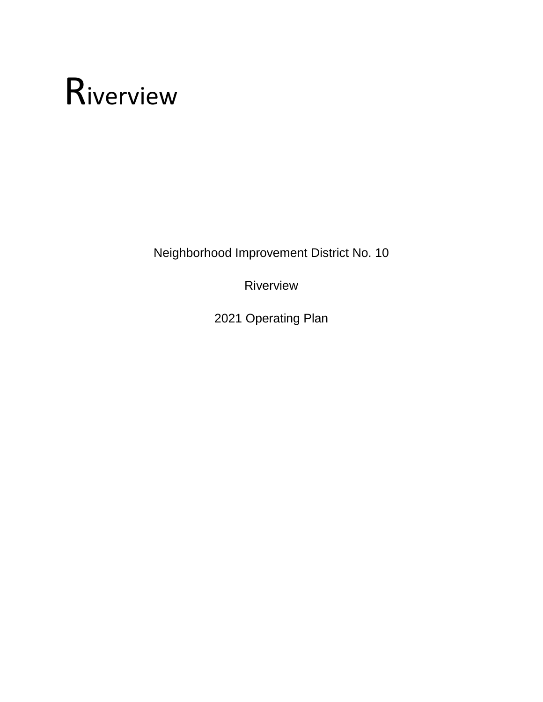# Riverview

Neighborhood Improvement District No. 10

Riverview

2021 Operating Plan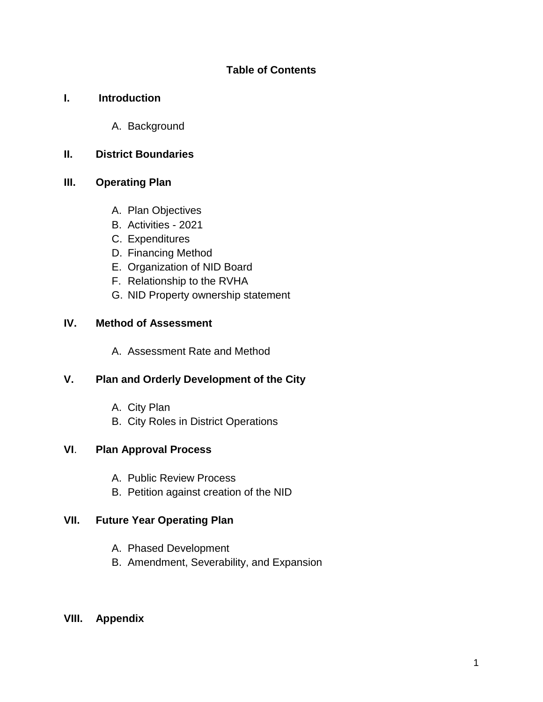# **Table of Contents**

# **I. Introduction**

A. Background

# **II. District Boundaries**

# **III. Operating Plan**

- A. Plan Objectives
- B. Activities 2021
- C. Expenditures
- D. Financing Method
- E. Organization of NID Board
- F. Relationship to the RVHA
- G. NID Property ownership statement

# **IV. Method of Assessment**

A. Assessment Rate and Method

# **V. Plan and Orderly Development of the City**

- A. City Plan
- B. City Roles in District Operations

# **VI**. **Plan Approval Process**

- A. Public Review Process
- B. Petition against creation of the NID

# **VII. Future Year Operating Plan**

- A. Phased Development
- B. Amendment, Severability, and Expansion

# **VIII. Appendix**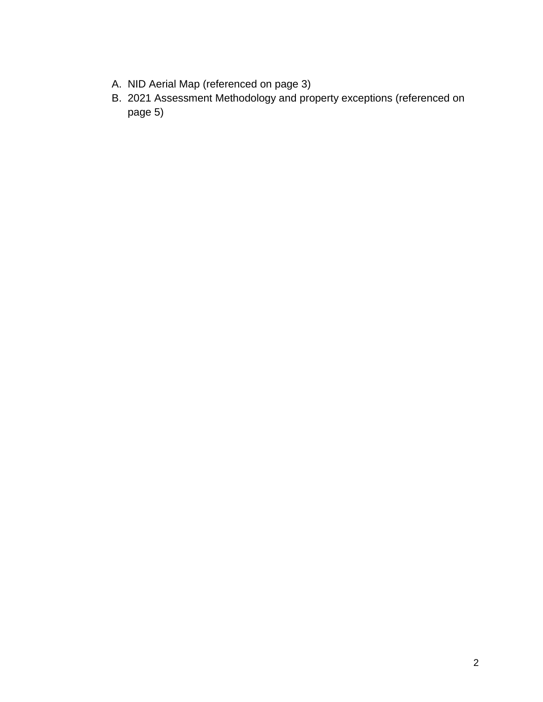- A. NID Aerial Map (referenced on page 3)
- B. 2021 Assessment Methodology and property exceptions (referenced on page 5)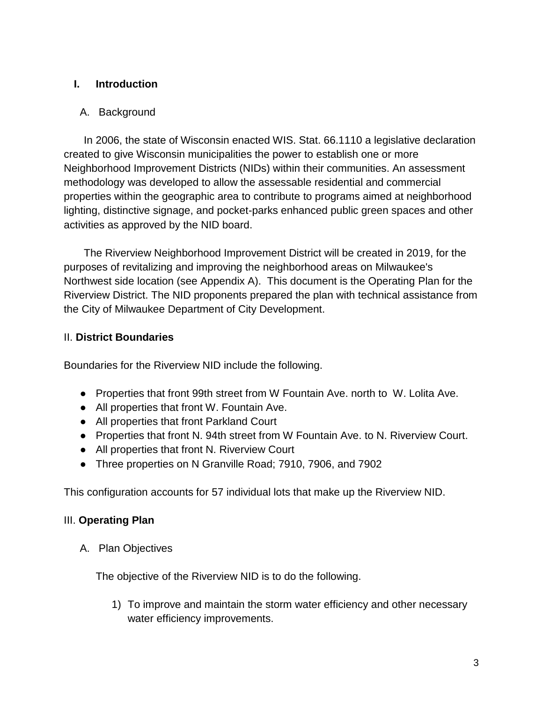# **I. Introduction**

# A. Background

In 2006, the state of Wisconsin enacted WIS. Stat. 66.1110 a legislative declaration created to give Wisconsin municipalities the power to establish one or more Neighborhood Improvement Districts (NIDs) within their communities. An assessment methodology was developed to allow the assessable residential and commercial properties within the geographic area to contribute to programs aimed at neighborhood lighting, distinctive signage, and pocket-parks enhanced public green spaces and other activities as approved by the NID board.

The Riverview Neighborhood Improvement District will be created in 2019, for the purposes of revitalizing and improving the neighborhood areas on Milwaukee's Northwest side location (see Appendix A). This document is the Operating Plan for the Riverview District. The NID proponents prepared the plan with technical assistance from the City of Milwaukee Department of City Development.

# II. **District Boundaries**

Boundaries for the Riverview NID include the following.

- Properties that front 99th street from W Fountain Ave. north to W. Lolita Ave.
- All properties that front W. Fountain Ave.
- All properties that front Parkland Court
- Properties that front N. 94th street from W Fountain Ave. to N. Riverview Court.
- All properties that front N. Riverview Court
- Three properties on N Granville Road; 7910, 7906, and 7902

This configuration accounts for 57 individual lots that make up the Riverview NID.

# III. **Operating Plan**

A. Plan Objectives

The objective of the Riverview NID is to do the following.

1) To improve and maintain the storm water efficiency and other necessary water efficiency improvements.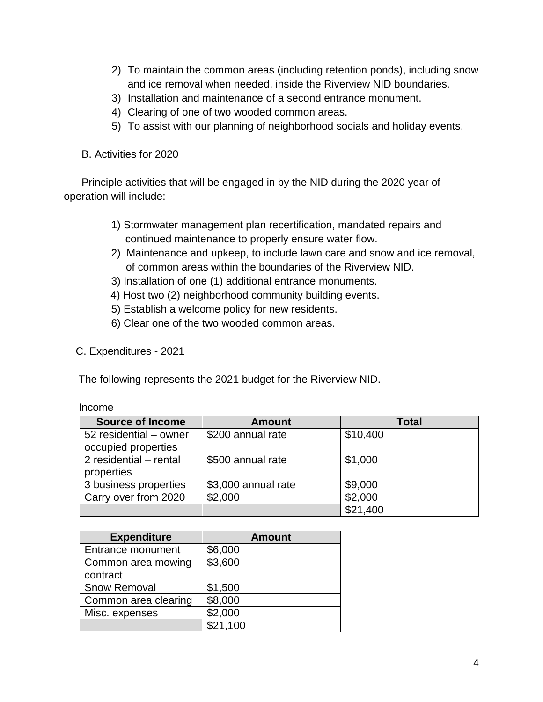- 2) To maintain the common areas (including retention ponds), including snow and ice removal when needed, inside the Riverview NID boundaries.
- 3) Installation and maintenance of a second entrance monument.
- 4) Clearing of one of two wooded common areas.
- 5) To assist with our planning of neighborhood socials and holiday events.
- B. Activities for 2020

 Principle activities that will be engaged in by the NID during the 2020 year of operation will include:

- 1) Stormwater management plan recertification, mandated repairs and continued maintenance to properly ensure water flow.
- 2) Maintenance and upkeep, to include lawn care and snow and ice removal, of common areas within the boundaries of the Riverview NID.
- 3) Installation of one (1) additional entrance monuments.
- 4) Host two (2) neighborhood community building events.
- 5) Establish a welcome policy for new residents.
- 6) Clear one of the two wooded common areas.
- C. Expenditures 2021

The following represents the 2021 budget for the Riverview NID.

| <b>Source of Income</b> | <b>Amount</b>       | <b>Total</b> |
|-------------------------|---------------------|--------------|
| 52 residential - owner  | \$200 annual rate   | \$10,400     |
| occupied properties     |                     |              |
| 2 residential - rental  | \$500 annual rate   | \$1,000      |
| properties              |                     |              |
| 3 business properties   | \$3,000 annual rate | \$9,000      |
| Carry over from 2020    | \$2,000             | \$2,000      |
|                         |                     | \$21,400     |

| <b>Expenditure</b>   | <b>Amount</b> |
|----------------------|---------------|
| Entrance monument    | \$6,000       |
| Common area mowing   | \$3,600       |
| contract             |               |
| <b>Snow Removal</b>  | \$1,500       |
| Common area clearing | \$8,000       |
| Misc. expenses       | \$2,000       |
|                      | \$21,100      |

### Income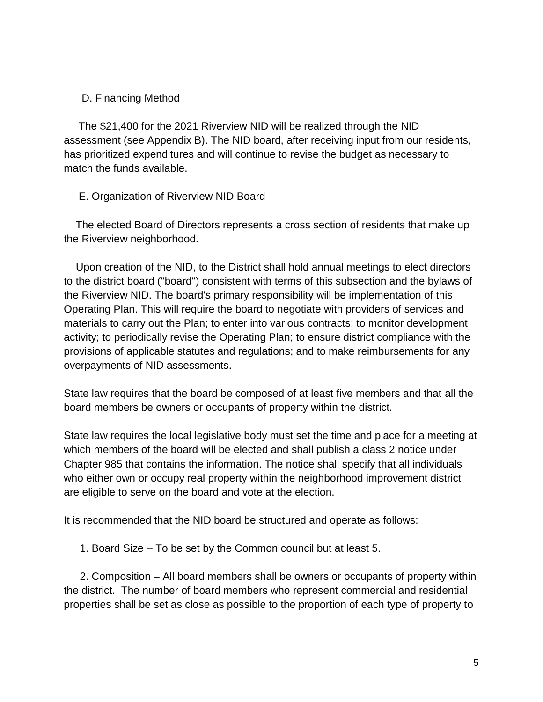# D. Financing Method

 The \$21,400 for the 2021 Riverview NID will be realized through the NID assessment (see Appendix B). The NID board, after receiving input from our residents, has prioritized expenditures and will continue to revise the budget as necessary to match the funds available.

# E. Organization of Riverview NID Board

 The elected Board of Directors represents a cross section of residents that make up the Riverview neighborhood.

Upon creation of the NID, to the District shall hold annual meetings to elect directors to the district board ("board") consistent with terms of this subsection and the bylaws of the Riverview NID. The board's primary responsibility will be implementation of this Operating Plan. This will require the board to negotiate with providers of services and materials to carry out the Plan; to enter into various contracts; to monitor development activity; to periodically revise the Operating Plan; to ensure district compliance with the provisions of applicable statutes and regulations; and to make reimbursements for any overpayments of NID assessments.

State law requires that the board be composed of at least five members and that all the board members be owners or occupants of property within the district.

State law requires the local legislative body must set the time and place for a meeting at which members of the board will be elected and shall publish a class 2 notice under Chapter 985 that contains the information. The notice shall specify that all individuals who either own or occupy real property within the neighborhood improvement district are eligible to serve on the board and vote at the election.

It is recommended that the NID board be structured and operate as follows:

1. Board Size – To be set by the Common council but at least 5.

2. Composition – All board members shall be owners or occupants of property within the district. The number of board members who represent commercial and residential properties shall be set as close as possible to the proportion of each type of property to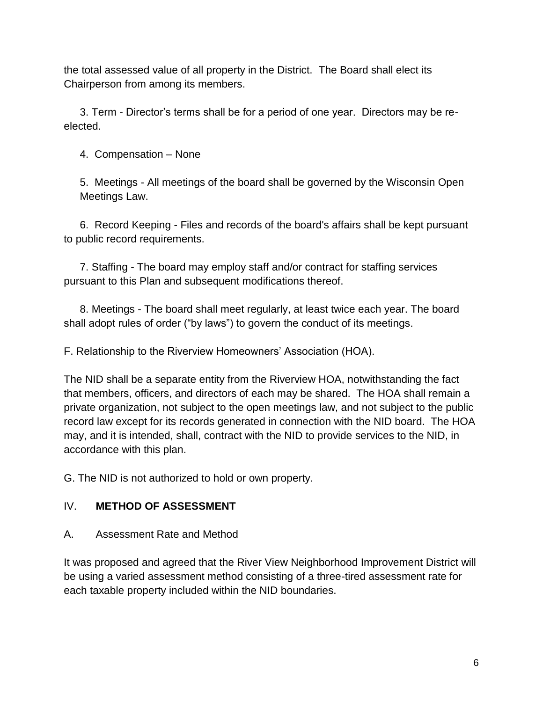the total assessed value of all property in the District. The Board shall elect its Chairperson from among its members.

3. Term - Director's terms shall be for a period of one year. Directors may be reelected.

4. Compensation – None

5. Meetings - All meetings of the board shall be governed by the Wisconsin Open Meetings Law.

6. Record Keeping - Files and records of the board's affairs shall be kept pursuant to public record requirements.

7. Staffing - The board may employ staff and/or contract for staffing services pursuant to this Plan and subsequent modifications thereof.

8. Meetings - The board shall meet regularly, at least twice each year. The board shall adopt rules of order ("by laws") to govern the conduct of its meetings.

F. Relationship to the Riverview Homeowners' Association (HOA).

The NID shall be a separate entity from the Riverview HOA, notwithstanding the fact that members, officers, and directors of each may be shared. The HOA shall remain a private organization, not subject to the open meetings law, and not subject to the public record law except for its records generated in connection with the NID board. The HOA may, and it is intended, shall, contract with the NID to provide services to the NID, in accordance with this plan.

G. The NID is not authorized to hold or own property.

# IV. **METHOD OF ASSESSMENT**

A. Assessment Rate and Method

It was proposed and agreed that the River View Neighborhood Improvement District will be using a varied assessment method consisting of a three-tired assessment rate for each taxable property included within the NID boundaries.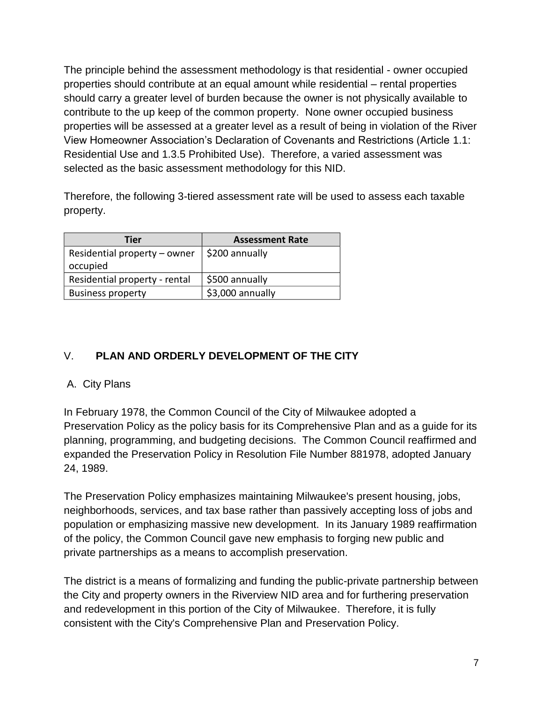The principle behind the assessment methodology is that residential - owner occupied properties should contribute at an equal amount while residential – rental properties should carry a greater level of burden because the owner is not physically available to contribute to the up keep of the common property. None owner occupied business properties will be assessed at a greater level as a result of being in violation of the River View Homeowner Association's Declaration of Covenants and Restrictions (Article 1.1: Residential Use and 1.3.5 Prohibited Use). Therefore, a varied assessment was selected as the basic assessment methodology for this NID.

Therefore, the following 3-tiered assessment rate will be used to assess each taxable property.

| Tier                                          | <b>Assessment Rate</b> |
|-----------------------------------------------|------------------------|
| Residential property – owner   \$200 annually |                        |
| occupied                                      |                        |
| Residential property - rental                 | \$500 annually         |
| <b>Business property</b>                      | \$3,000 annually       |

# V. **PLAN AND ORDERLY DEVELOPMENT OF THE CITY**

# A. City Plans

In February 1978, the Common Council of the City of Milwaukee adopted a Preservation Policy as the policy basis for its Comprehensive Plan and as a guide for its planning, programming, and budgeting decisions. The Common Council reaffirmed and expanded the Preservation Policy in Resolution File Number 881978, adopted January 24, 1989.

The Preservation Policy emphasizes maintaining Milwaukee's present housing, jobs, neighborhoods, services, and tax base rather than passively accepting loss of jobs and population or emphasizing massive new development. In its January 1989 reaffirmation of the policy, the Common Council gave new emphasis to forging new public and private partnerships as a means to accomplish preservation.

The district is a means of formalizing and funding the public-private partnership between the City and property owners in the Riverview NID area and for furthering preservation and redevelopment in this portion of the City of Milwaukee. Therefore, it is fully consistent with the City's Comprehensive Plan and Preservation Policy.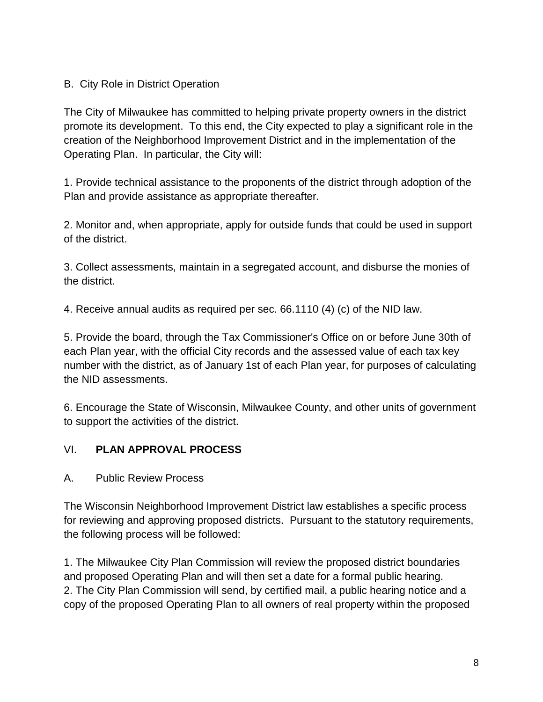# B. City Role in District Operation

The City of Milwaukee has committed to helping private property owners in the district promote its development. To this end, the City expected to play a significant role in the creation of the Neighborhood Improvement District and in the implementation of the Operating Plan. In particular, the City will:

1. Provide technical assistance to the proponents of the district through adoption of the Plan and provide assistance as appropriate thereafter.

2. Monitor and, when appropriate, apply for outside funds that could be used in support of the district.

3. Collect assessments, maintain in a segregated account, and disburse the monies of the district.

4. Receive annual audits as required per sec. 66.1110 (4) (c) of the NID law.

5. Provide the board, through the Tax Commissioner's Office on or before June 30th of each Plan year, with the official City records and the assessed value of each tax key number with the district, as of January 1st of each Plan year, for purposes of calculating the NID assessments.

6. Encourage the State of Wisconsin, Milwaukee County, and other units of government to support the activities of the district.

# VI. **PLAN APPROVAL PROCESS**

A. Public Review Process

The Wisconsin Neighborhood Improvement District law establishes a specific process for reviewing and approving proposed districts. Pursuant to the statutory requirements, the following process will be followed:

1. The Milwaukee City Plan Commission will review the proposed district boundaries and proposed Operating Plan and will then set a date for a formal public hearing. 2. The City Plan Commission will send, by certified mail, a public hearing notice and a copy of the proposed Operating Plan to all owners of real property within the proposed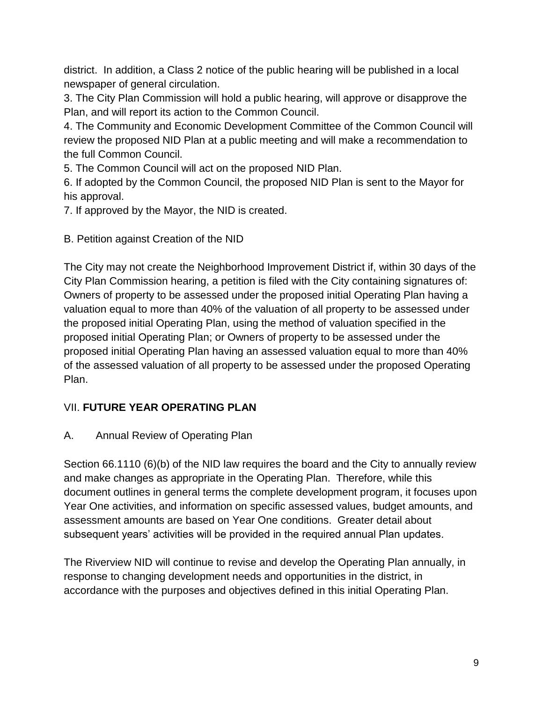district. In addition, a Class 2 notice of the public hearing will be published in a local newspaper of general circulation.

3. The City Plan Commission will hold a public hearing, will approve or disapprove the Plan, and will report its action to the Common Council.

4. The Community and Economic Development Committee of the Common Council will review the proposed NID Plan at a public meeting and will make a recommendation to the full Common Council.

5. The Common Council will act on the proposed NID Plan.

6. If adopted by the Common Council, the proposed NID Plan is sent to the Mayor for his approval.

7. If approved by the Mayor, the NID is created.

B. Petition against Creation of the NID

The City may not create the Neighborhood Improvement District if, within 30 days of the City Plan Commission hearing, a petition is filed with the City containing signatures of: Owners of property to be assessed under the proposed initial Operating Plan having a valuation equal to more than 40% of the valuation of all property to be assessed under the proposed initial Operating Plan, using the method of valuation specified in the proposed initial Operating Plan; or Owners of property to be assessed under the proposed initial Operating Plan having an assessed valuation equal to more than 40% of the assessed valuation of all property to be assessed under the proposed Operating Plan.

# VII. **FUTURE YEAR OPERATING PLAN**

# A. Annual Review of Operating Plan

Section 66.1110 (6)(b) of the NID law requires the board and the City to annually review and make changes as appropriate in the Operating Plan. Therefore, while this document outlines in general terms the complete development program, it focuses upon Year One activities, and information on specific assessed values, budget amounts, and assessment amounts are based on Year One conditions. Greater detail about subsequent years' activities will be provided in the required annual Plan updates.

The Riverview NID will continue to revise and develop the Operating Plan annually, in response to changing development needs and opportunities in the district, in accordance with the purposes and objectives defined in this initial Operating Plan.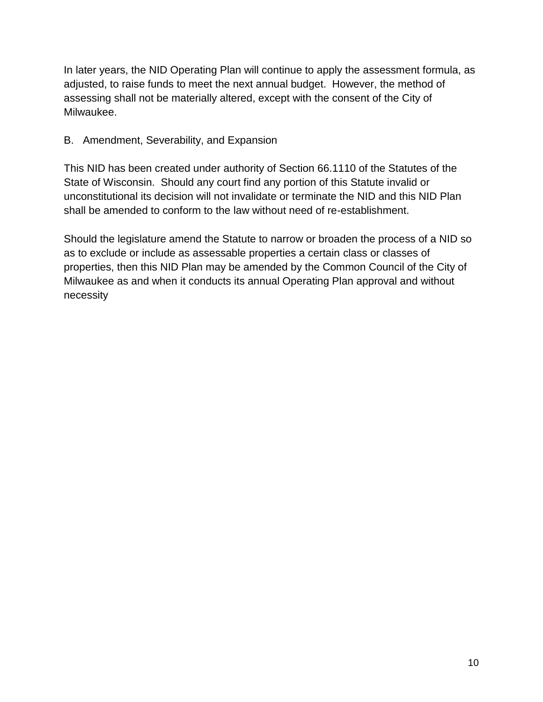In later years, the NID Operating Plan will continue to apply the assessment formula, as adjusted, to raise funds to meet the next annual budget. However, the method of assessing shall not be materially altered, except with the consent of the City of Milwaukee.

# B. Amendment, Severability, and Expansion

This NID has been created under authority of Section 66.1110 of the Statutes of the State of Wisconsin. Should any court find any portion of this Statute invalid or unconstitutional its decision will not invalidate or terminate the NID and this NID Plan shall be amended to conform to the law without need of re-establishment.

Should the legislature amend the Statute to narrow or broaden the process of a NID so as to exclude or include as assessable properties a certain class or classes of properties, then this NID Plan may be amended by the Common Council of the City of Milwaukee as and when it conducts its annual Operating Plan approval and without necessity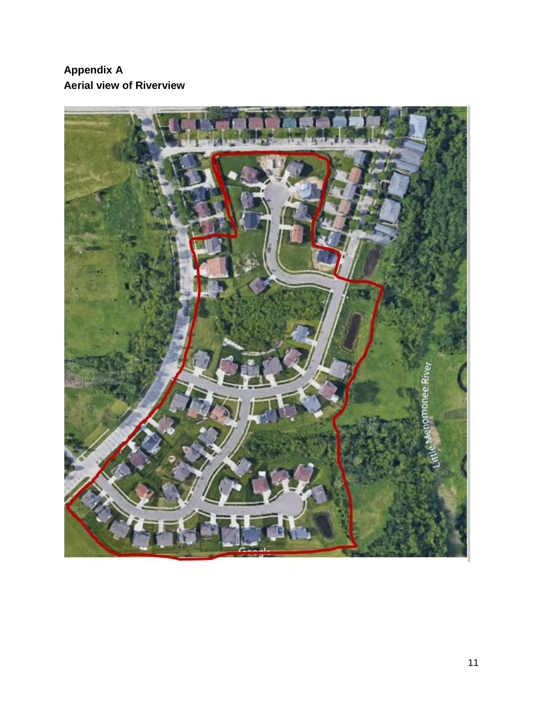# **Appendix A Aerial view of Riverview**

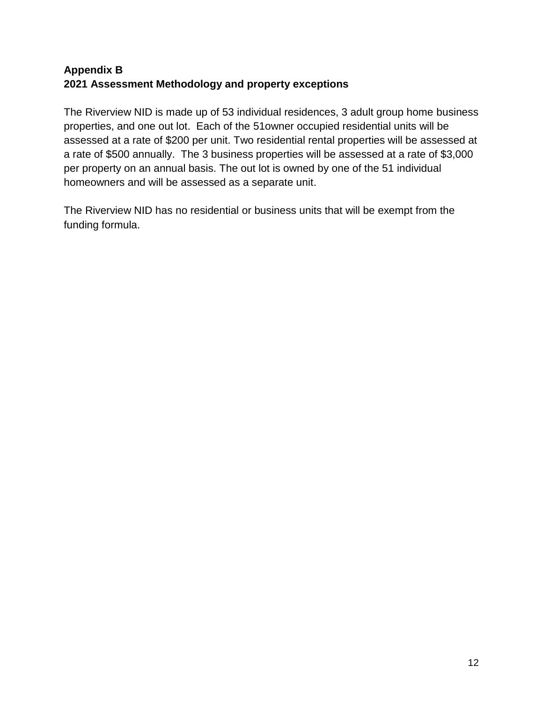# **Appendix B 2021 Assessment Methodology and property exceptions**

The Riverview NID is made up of 53 individual residences, 3 adult group home business properties, and one out lot. Each of the 51owner occupied residential units will be assessed at a rate of \$200 per unit. Two residential rental properties will be assessed at a rate of \$500 annually. The 3 business properties will be assessed at a rate of \$3,000 per property on an annual basis. The out lot is owned by one of the 51 individual homeowners and will be assessed as a separate unit.

The Riverview NID has no residential or business units that will be exempt from the funding formula.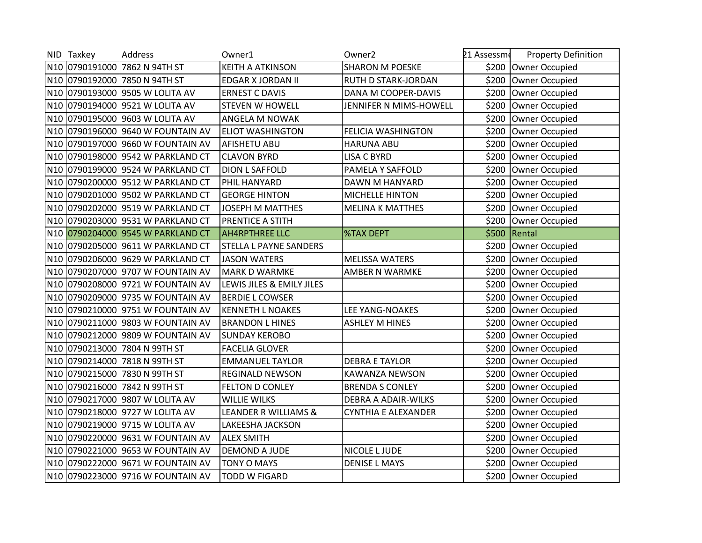|                 | NID Taxkey | Address                           | Owner1                        | Owner <sub>2</sub>         | 21 Assessme | <b>Property Definition</b> |
|-----------------|------------|-----------------------------------|-------------------------------|----------------------------|-------------|----------------------------|
|                 |            | N10 0790191000 7862 N 94TH ST     | KEITH A ATKINSON              | <b>SHARON M POESKE</b>     |             | \$200 Owner Occupied       |
|                 |            | N10 0790192000 7850 N 94TH ST     | EDGAR X JORDAN II             | <b>RUTH D STARK-JORDAN</b> | \$200       | Owner Occupied             |
|                 |            | N10 0790193000 9505 W LOLITA AV   | <b>ERNEST C DAVIS</b>         | DANA M COOPER-DAVIS        | \$200       | Owner Occupied             |
|                 |            | N10 0790194000 9521 W LOLITA AV   | <b>STEVEN W HOWELL</b>        | JENNIFER N MIMS-HOWELL     | \$200       | Owner Occupied             |
|                 |            | N10 0790195000 9603 W LOLITA AV   | ANGELA M NOWAK                |                            | \$200       | Owner Occupied             |
|                 |            | N10 0790196000 9640 W FOUNTAIN AV | <b>ELIOT WASHINGTON</b>       | <b>FELICIA WASHINGTON</b>  | \$200       | Owner Occupied             |
|                 |            | N10 0790197000 9660 W FOUNTAIN AV | AFISHETU ABU                  | <b>HARUNA ABU</b>          | \$200       | Owner Occupied             |
|                 |            | N10 0790198000 9542 W PARKLAND CT | <b>CLAVON BYRD</b>            | LISA C BYRD                | \$200       | Owner Occupied             |
|                 |            | N10 0790199000 9524 W PARKLAND CT | <b>DION L SAFFOLD</b>         | PAMELA Y SAFFOLD           | \$200       | Owner Occupied             |
|                 |            | N10 0790200000 9512 W PARKLAND CT | PHIL HANYARD                  | DAWN M HANYARD             | \$200       | Owner Occupied             |
|                 |            | N10 0790201000 9502 W PARKLAND CT | <b>GEORGE HINTON</b>          | <b>MICHELLE HINTON</b>     | \$200       | Owner Occupied             |
|                 |            | N10 0790202000 9519 W PARKLAND CT | <b>JOSEPH M MATTHES</b>       | <b>MELINA K MATTHES</b>    | \$200       | <b>Owner Occupied</b>      |
|                 |            | N10 0790203000 9531 W PARKLAND CT | PRENTICE A STITH              |                            | \$200       | Owner Occupied             |
|                 |            | N10 0790204000 9545 W PARKLAND CT | <b>AH4RPTHREE LLC</b>         | <b>%TAX DEPT</b>           | \$500       | Rental                     |
|                 |            | N10 0790205000 9611 W PARKLAND CT | <b>STELLA L PAYNE SANDERS</b> |                            | \$200       | Owner Occupied             |
|                 |            | N10 0790206000 9629 W PARKLAND CT | <b>JASON WATERS</b>           | <b>MELISSA WATERS</b>      | \$200       | <b>Owner Occupied</b>      |
|                 |            | N10 0790207000 9707 W FOUNTAIN AV | <b>MARK D WARMKE</b>          | <b>AMBER N WARMKE</b>      | \$200       | <b>Owner Occupied</b>      |
|                 |            | N10 0790208000 9721 W FOUNTAIN AV | LEWIS JILES & EMILY JILES     |                            | \$200       | Owner Occupied             |
|                 |            | N10 0790209000 9735 W FOUNTAIN AV | <b>BERDIE L COWSER</b>        |                            | \$200       | Owner Occupied             |
|                 |            | N10 0790210000 9751 W FOUNTAIN AV | <b>KENNETH L NOAKES</b>       | <b>LEE YANG-NOAKES</b>     | \$200       | Owner Occupied             |
|                 |            | N10 0790211000 9803 W FOUNTAIN AV | <b>BRANDON L HINES</b>        | <b>ASHLEY M HINES</b>      | \$200       | Owner Occupied             |
|                 |            | N10 0790212000 9809 W FOUNTAIN AV | <b>SUNDAY KEROBO</b>          |                            | \$200       | Owner Occupied             |
|                 |            | N10 0790213000 7804 N 99TH ST     | <b>FACELIA GLOVER</b>         |                            | \$200       | Owner Occupied             |
|                 |            | N10 0790214000 7818 N 99TH ST     | <b>EMMANUEL TAYLOR</b>        | <b>DEBRA E TAYLOR</b>      | \$200       | Owner Occupied             |
| N <sub>10</sub> |            | 0790215000 7830 N 99TH ST         | <b>REGINALD NEWSON</b>        | KAWANZA NEWSON             | \$200       | Owner Occupied             |
|                 |            | N10 0790216000 7842 N 99TH ST     | <b>FELTON D CONLEY</b>        | <b>BRENDA S CONLEY</b>     | \$200       | Owner Occupied             |
|                 |            | N10 0790217000 9807 W LOLITA AV   | <b>WILLIE WILKS</b>           | DEBRA A ADAIR-WILKS        | \$200       | <b>Owner Occupied</b>      |
|                 |            | N10 0790218000 9727 W LOLITA AV   | LEANDER R WILLIAMS &          | CYNTHIA E ALEXANDER        | \$200       | <b>Owner Occupied</b>      |
|                 |            | N10 0790219000 9715 W LOLITA AV   | LAKEESHA JACKSON              |                            | \$200       | Owner Occupied             |
|                 |            | N10 0790220000 9631 W FOUNTAIN AV | <b>ALEX SMITH</b>             |                            | \$200       | Owner Occupied             |
|                 |            | N10 0790221000 9653 W FOUNTAIN AV | DEMOND A JUDE                 | NICOLE L JUDE              | \$200       | Owner Occupied             |
|                 |            | N10 0790222000 9671 W FOUNTAIN AV | <b>TONY O MAYS</b>            | <b>DENISE L MAYS</b>       | \$200       | Owner Occupied             |
|                 |            | N10 0790223000 9716 W FOUNTAIN AV | <b>TODD W FIGARD</b>          |                            |             | \$200 Owner Occupied       |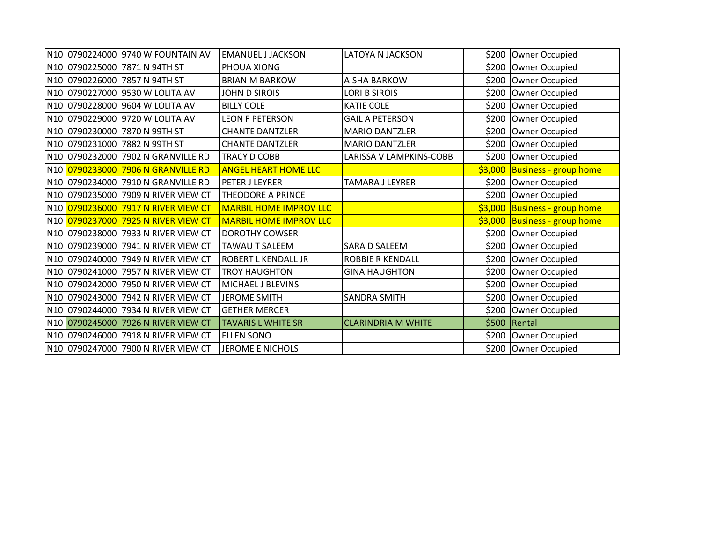| N10 0790224000 9740 W FOUNTAIN AV   | <b>EMANUEL J JACKSON</b>      | <b>LATOYA N JACKSON</b>   | \$200   | Owner Occupied                |
|-------------------------------------|-------------------------------|---------------------------|---------|-------------------------------|
| N10 0790225000 7871 N 94TH ST       | PHOUA XIONG                   |                           | \$200   | Owner Occupied                |
| N10 0790226000 7857 N 94TH ST       | <b>BRIAN M BARKOW</b>         | <b>AISHA BARKOW</b>       | \$200   | Owner Occupied                |
| N10 0790227000 9530 W LOLITA AV     | JOHN D SIROIS                 | <b>LORI B SIROIS</b>      | \$200   | Owner Occupied                |
| N10 0790228000 9604 W LOLITA AV     | <b>BILLY COLE</b>             | <b>KATIE COLE</b>         | \$200   | Owner Occupied                |
| N10 0790229000 9720 W LOLITA AV     | <b>LEON F PETERSON</b>        | <b>GAIL A PETERSON</b>    | \$200   | Owner Occupied                |
| N10 0790230000 7870 N 99TH ST       | <b>CHANTE DANTZLER</b>        | <b>MARIO DANTZLER</b>     | \$200   | Owner Occupied                |
| N10 0790231000 7882 N 99TH ST       | <b>CHANTE DANTZLER</b>        | <b>MARIO DANTZLER</b>     |         | \$200 Owner Occupied          |
| N10 0790232000 7902 N GRANVILLE RD  | <b>TRACY D COBB</b>           | LARISSA V LAMPKINS-COBB   | \$200   | Owner Occupied                |
| N10 0790233000 7906 N GRANVILLE RD  | <b>ANGEL HEART HOME LLC</b>   |                           | \$3,000 | <b>Business - group home</b>  |
| N10 0790234000 7910 N GRANVILLE RD  | PETER J LEYRER                | <b>TAMARA J LEYRER</b>    | \$200   | Owner Occupied                |
| N10 0790235000 7909 N RIVER VIEW CT | <b>THEODORE A PRINCE</b>      |                           |         | \$200 Owner Occupied          |
| N10 0790236000 7917 N RIVER VIEW CT | <b>MARBIL HOME IMPROV LLC</b> |                           |         | \$3,000 Business - group home |
| N10 0790237000 7925 N RIVER VIEW CT | <b>MARBIL HOME IMPROV LLC</b> |                           |         | \$3,000 Business - group home |
| N10 0790238000 7933 N RIVER VIEW CT | <b>DOROTHY COWSER</b>         |                           | \$200   | Owner Occupied                |
| N10 0790239000 7941 N RIVER VIEW CT | <b>TAWAU T SALEEM</b>         | <b>SARA D SALEEM</b>      | \$200   | Owner Occupied                |
| N10 0790240000 7949 N RIVER VIEW CT | <b>ROBERT L KENDALL JR</b>    | <b>ROBBIE R KENDALL</b>   | \$200   | Owner Occupied                |
| N10 0790241000 7957 N RIVER VIEW CT | <b>TROY HAUGHTON</b>          | <b>GINA HAUGHTON</b>      | \$200   | Owner Occupied                |
| N10 0790242000 7950 N RIVER VIEW CT | MICHAEL J BLEVINS             |                           |         | \$200 Owner Occupied          |
| N10 0790243000 7942 N RIVER VIEW CT | <b>JEROME SMITH</b>           | <b>SANDRA SMITH</b>       | \$200   | Owner Occupied                |
| N10 0790244000 7934 N RIVER VIEW CT | <b>GETHER MERCER</b>          |                           | \$200   | Owner Occupied                |
| N10 0790245000 7926 N RIVER VIEW CT | <b>TAVARIS L WHITE SR</b>     | <b>CLARINDRIA M WHITE</b> | \$500   | Rental                        |
| N10 0790246000 7918 N RIVER VIEW CT | <b>ELLEN SONO</b>             |                           | \$200   | Owner Occupied                |
| N10 0790247000 7900 N RIVER VIEW CT | JEROME E NICHOLS              |                           |         | \$200 Owner Occupied          |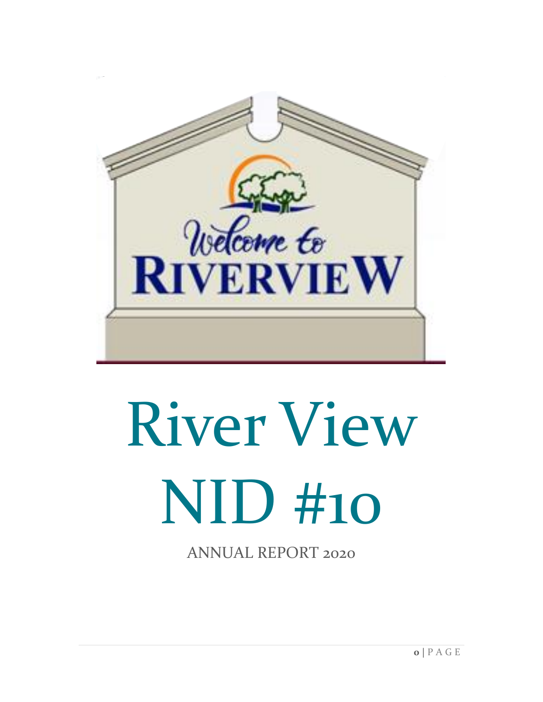

# River View NID #10

ANNUAL REPORT 2020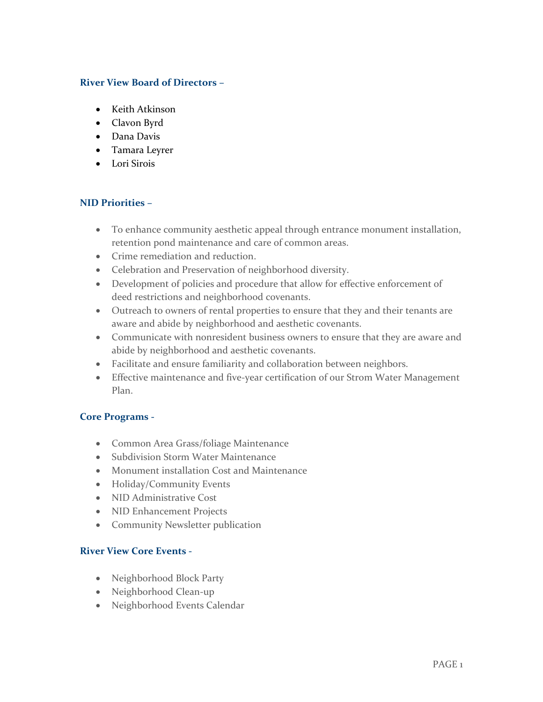### **River View Board of Directors –**

- Keith Atkinson
- Clavon Byrd
- Dana Davis
- Tamara Leyrer
- Lori Sirois

# **NID Priorities –**

- To enhance community aesthetic appeal through entrance monument installation, retention pond maintenance and care of common areas.
- Crime remediation and reduction.
- Celebration and Preservation of neighborhood diversity.
- Development of policies and procedure that allow for effective enforcement of deed restrictions and neighborhood covenants.
- Outreach to owners of rental properties to ensure that they and their tenants are aware and abide by neighborhood and aesthetic covenants.
- Communicate with nonresident business owners to ensure that they are aware and abide by neighborhood and aesthetic covenants.
- Facilitate and ensure familiarity and collaboration between neighbors.
- Effective maintenance and five-year certification of our Strom Water Management Plan.

### **Core Programs -**

- Common Area Grass/foliage Maintenance
- Subdivision Storm Water Maintenance
- Monument installation Cost and Maintenance
- Holiday/Community Events
- NID Administrative Cost
- NID Enhancement Projects
- Community Newsletter publication

# **River View Core Events -**

- Neighborhood Block Party
- Neighborhood Clean-up
- Neighborhood Events Calendar